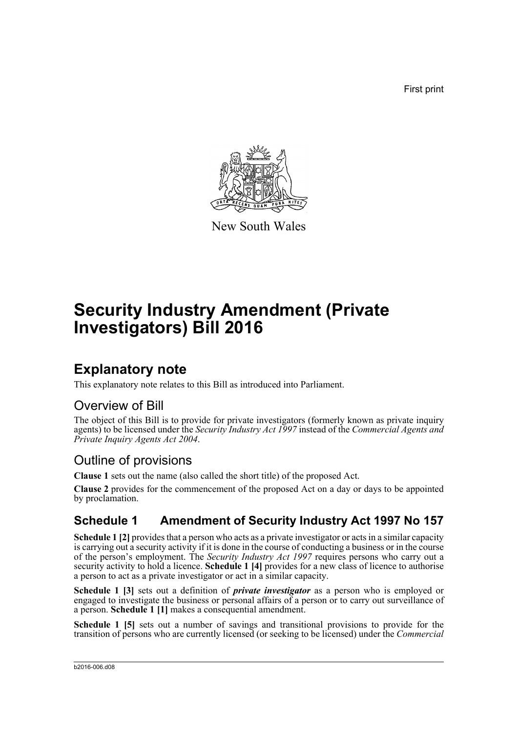First print



New South Wales

# **Security Industry Amendment (Private Investigators) Bill 2016**

## **Explanatory note**

This explanatory note relates to this Bill as introduced into Parliament.

### Overview of Bill

The object of this Bill is to provide for private investigators (formerly known as private inquiry agents) to be licensed under the *Security Industry Act 1997* instead of the *Commercial Agents and Private Inquiry Agents Act 2004*.

## Outline of provisions

**Clause 1** sets out the name (also called the short title) of the proposed Act.

**Clause 2** provides for the commencement of the proposed Act on a day or days to be appointed by proclamation.

## **Schedule 1 Amendment of Security Industry Act 1997 No 157**

**Schedule 1 [2]** provides that a person who acts as a private investigator or acts in a similar capacity is carrying out a security activity if it is done in the course of conducting a business or in the course of the person's employment. The *Security Industry Act 1997* requires persons who carry out a security activity to hold a licence. **Schedule 1** [4] provides for a new class of licence to authorise a person to act as a private investigator or act in a similar capacity.

**Schedule 1 [3]** sets out a definition of *private investigator* as a person who is employed or engaged to investigate the business or personal affairs of a person or to carry out surveillance of a person. **Schedule 1 [1]** makes a consequential amendment.

**Schedule 1 [5]** sets out a number of savings and transitional provisions to provide for the transition of persons who are currently licensed (or seeking to be licensed) under the *Commercial*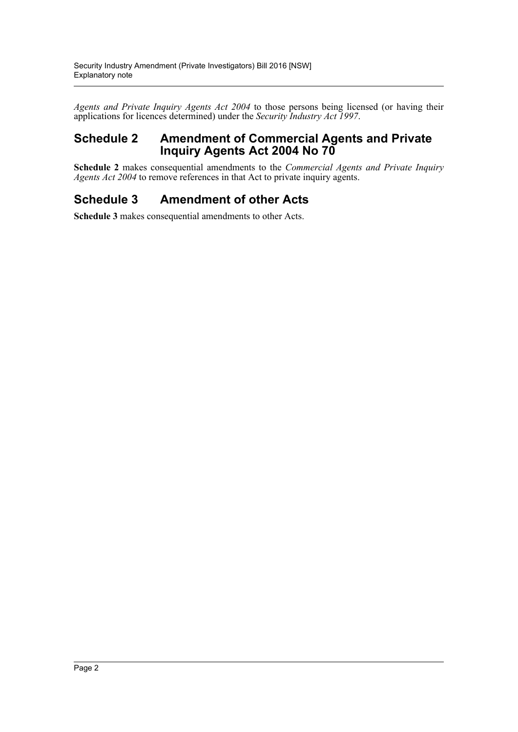*Agents and Private Inquiry Agents Act 2004* to those persons being licensed (or having their applications for licences determined) under the *Security Industry Act 1997*.

### **Schedule 2 Amendment of Commercial Agents and Private Inquiry Agents Act 2004 No 70**

**Schedule 2** makes consequential amendments to the *Commercial Agents and Private Inquiry Agents Act 2004* to remove references in that Act to private inquiry agents.

### **Schedule 3 Amendment of other Acts**

**Schedule 3** makes consequential amendments to other Acts.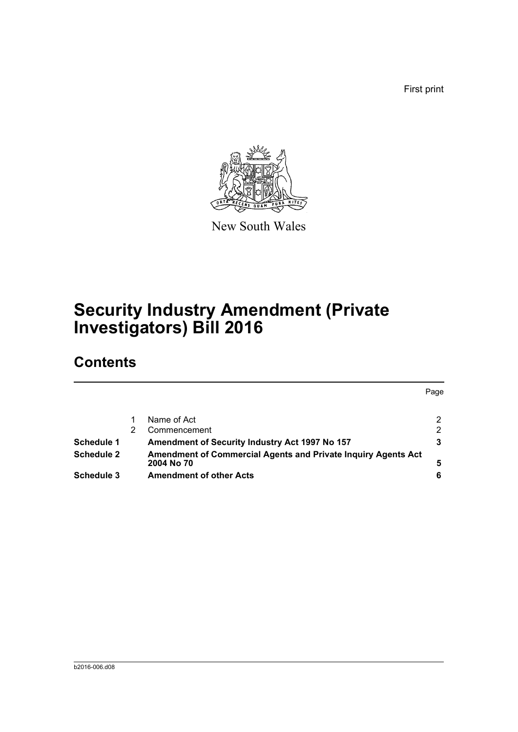First print



New South Wales

# **Security Industry Amendment (Private Investigators) Bill 2016**

## **Contents**

|                                                               | Page |
|---------------------------------------------------------------|------|
|                                                               |      |
| Name of Act                                                   | 2    |
| Commencement                                                  | 2    |
| Amendment of Security Industry Act 1997 No 157                | 3    |
| Amendment of Commercial Agents and Private Inquiry Agents Act |      |
| 2004 No 70                                                    | 5    |
| <b>Amendment of other Acts</b>                                | 6    |
|                                                               |      |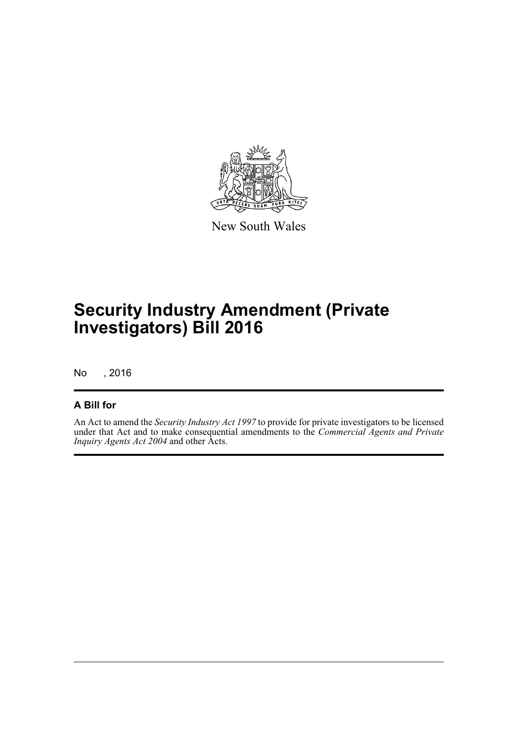

New South Wales

# **Security Industry Amendment (Private Investigators) Bill 2016**

No , 2016

#### **A Bill for**

An Act to amend the *Security Industry Act 1997* to provide for private investigators to be licensed under that Act and to make consequential amendments to the *Commercial Agents and Private Inquiry Agents Act 2004* and other Acts.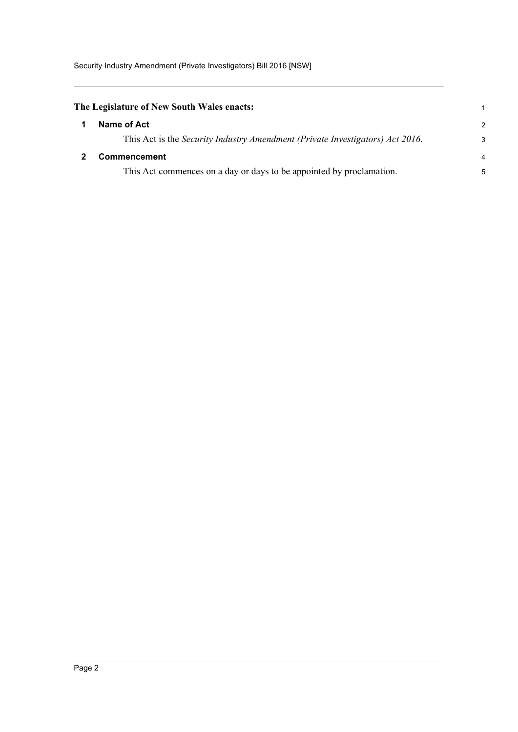<span id="page-4-1"></span><span id="page-4-0"></span>

| The Legislature of New South Wales enacts: |                                                                               | 1              |
|--------------------------------------------|-------------------------------------------------------------------------------|----------------|
|                                            | Name of Act                                                                   | $\mathcal{P}$  |
|                                            | This Act is the Security Industry Amendment (Private Investigators) Act 2016. | 3              |
|                                            | <b>Commencement</b>                                                           | $\overline{4}$ |
|                                            | This Act commences on a day or days to be appointed by proclamation.          | 5              |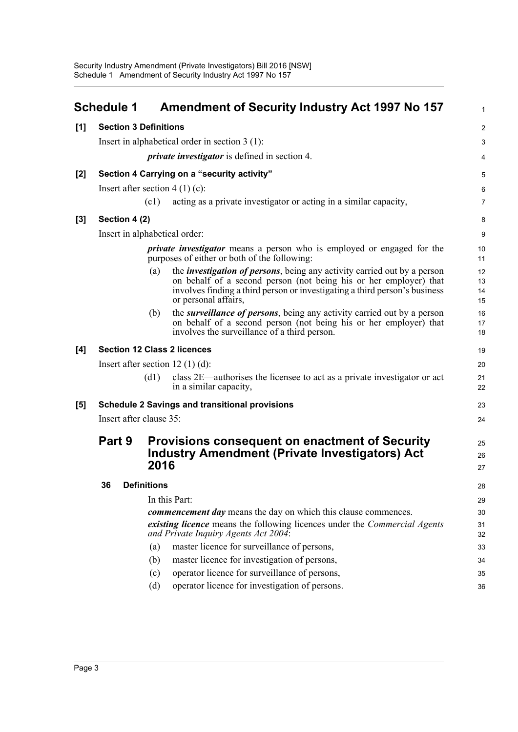<span id="page-5-0"></span>

|       | <b>Schedule 1</b>                                                                                                             |                    | <b>Amendment of Security Industry Act 1997 No 157</b>                                                                                                                                                                                                       | $\mathbf{1}$         |
|-------|-------------------------------------------------------------------------------------------------------------------------------|--------------------|-------------------------------------------------------------------------------------------------------------------------------------------------------------------------------------------------------------------------------------------------------------|----------------------|
| [1]   | <b>Section 3 Definitions</b>                                                                                                  |                    |                                                                                                                                                                                                                                                             | $\overline{2}$       |
|       |                                                                                                                               |                    | Insert in alphabetical order in section $3(1)$ :                                                                                                                                                                                                            | 3                    |
|       |                                                                                                                               |                    | <i>private investigator</i> is defined in section 4.                                                                                                                                                                                                        | 4                    |
| $[2]$ |                                                                                                                               |                    | Section 4 Carrying on a "security activity"                                                                                                                                                                                                                 | 5                    |
|       | Insert after section $4(1)(c)$ :                                                                                              |                    |                                                                                                                                                                                                                                                             | 6                    |
|       |                                                                                                                               | (c1)               | acting as a private investigator or acting in a similar capacity,                                                                                                                                                                                           | $\overline{7}$       |
| $[3]$ | Section 4 (2)                                                                                                                 |                    |                                                                                                                                                                                                                                                             | 8                    |
|       | Insert in alphabetical order:                                                                                                 |                    |                                                                                                                                                                                                                                                             | 9                    |
|       | <i>private investigator</i> means a person who is employed or engaged for the<br>purposes of either or both of the following: |                    |                                                                                                                                                                                                                                                             | 10<br>11             |
|       |                                                                                                                               | (a)                | the <i>investigation of persons</i> , being any activity carried out by a person<br>on behalf of a second person (not being his or her employer) that<br>involves finding a third person or investigating a third person's business<br>or personal affairs, | 12<br>13<br>14<br>15 |
|       |                                                                                                                               | (b)                | the <i>surveillance of persons</i> , being any activity carried out by a person<br>on behalf of a second person (not being his or her employer) that<br>involves the surveillance of a third person.                                                        | 16<br>17<br>18       |
| [4]   |                                                                                                                               |                    | <b>Section 12 Class 2 licences</b>                                                                                                                                                                                                                          | 19                   |
|       |                                                                                                                               |                    | Insert after section 12 $(1)$ (d):                                                                                                                                                                                                                          | 20                   |
|       |                                                                                                                               | (d1)               | class 2E—authorises the licensee to act as a private investigator or act<br>in a similar capacity,                                                                                                                                                          | 21<br>22             |
| [5]   |                                                                                                                               |                    | <b>Schedule 2 Savings and transitional provisions</b>                                                                                                                                                                                                       | 23                   |
|       | Insert after clause 35:                                                                                                       |                    |                                                                                                                                                                                                                                                             | 24                   |
|       | Part 9                                                                                                                        |                    | <b>Provisions consequent on enactment of Security</b><br><b>Industry Amendment (Private Investigators) Act</b>                                                                                                                                              | 25<br>26             |
|       |                                                                                                                               | 2016               |                                                                                                                                                                                                                                                             | 27                   |
|       | 36                                                                                                                            | <b>Definitions</b> |                                                                                                                                                                                                                                                             | 28                   |
|       |                                                                                                                               |                    | In this Part:                                                                                                                                                                                                                                               | 29                   |
|       |                                                                                                                               |                    | <i>commencement day</i> means the day on which this clause commences.                                                                                                                                                                                       | 30                   |
|       |                                                                                                                               |                    | existing licence means the following licences under the Commercial Agents<br>and Private Inquiry Agents Act 2004:                                                                                                                                           | 31<br>32             |
|       |                                                                                                                               | (a)                | master licence for surveillance of persons,                                                                                                                                                                                                                 | 33                   |
|       |                                                                                                                               | (b)                | master licence for investigation of persons,                                                                                                                                                                                                                | 34                   |
|       |                                                                                                                               | (c)                | operator licence for surveillance of persons,                                                                                                                                                                                                               | 35                   |
|       |                                                                                                                               | (d)                | operator licence for investigation of persons.                                                                                                                                                                                                              | 36                   |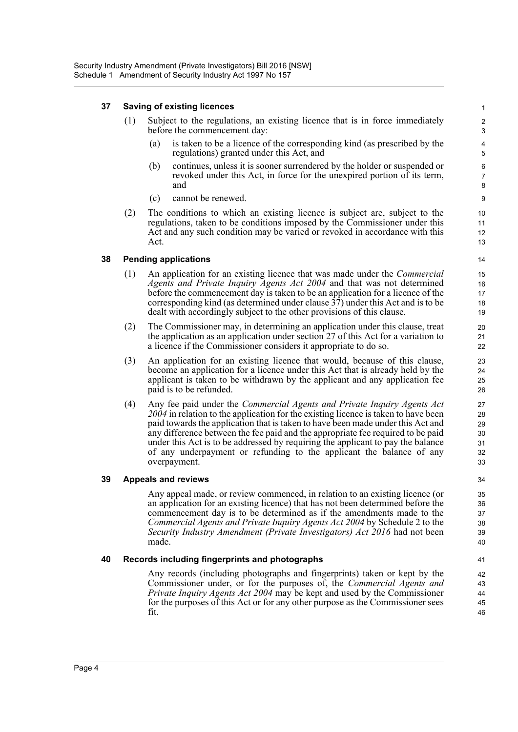#### **37 Saving of existing licences**

- (1) Subject to the regulations, an existing licence that is in force immediately before the commencement day:
	- (a) is taken to be a licence of the corresponding kind (as prescribed by the regulations) granted under this Act, and

- (b) continues, unless it is sooner surrendered by the holder or suspended or revoked under this Act, in force for the unexpired portion of its term, and
- (c) cannot be renewed.
- (2) The conditions to which an existing licence is subject are, subject to the regulations, taken to be conditions imposed by the Commissioner under this Act and any such condition may be varied or revoked in accordance with this Act.

#### **38 Pending applications**

- (1) An application for an existing licence that was made under the *Commercial Agents and Private Inquiry Agents Act 2004* and that was not determined before the commencement day is taken to be an application for a licence of the corresponding kind (as determined under clause  $3\overline{7}$ ) under this Act and is to be dealt with accordingly subject to the other provisions of this clause.
- (2) The Commissioner may, in determining an application under this clause, treat the application as an application under section 27 of this Act for a variation to a licence if the Commissioner considers it appropriate to do so.
- (3) An application for an existing licence that would, because of this clause, become an application for a licence under this Act that is already held by the applicant is taken to be withdrawn by the applicant and any application fee paid is to be refunded.
- (4) Any fee paid under the *Commercial Agents and Private Inquiry Agents Act 2004* in relation to the application for the existing licence is taken to have been paid towards the application that is taken to have been made under this Act and any difference between the fee paid and the appropriate fee required to be paid under this Act is to be addressed by requiring the applicant to pay the balance of any underpayment or refunding to the applicant the balance of any overpayment.

#### **39 Appeals and reviews**

Any appeal made, or review commenced, in relation to an existing licence (or an application for an existing licence) that has not been determined before the commencement day is to be determined as if the amendments made to the *Commercial Agents and Private Inquiry Agents Act 2004* by Schedule 2 to the *Security Industry Amendment (Private Investigators) Act 2016* had not been made.

#### **40 Records including fingerprints and photographs**

Any records (including photographs and fingerprints) taken or kept by the Commissioner under, or for the purposes of, the *Commercial Agents and Private Inquiry Agents Act 2004* may be kept and used by the Commissioner for the purposes of this Act or for any other purpose as the Commissioner sees fit.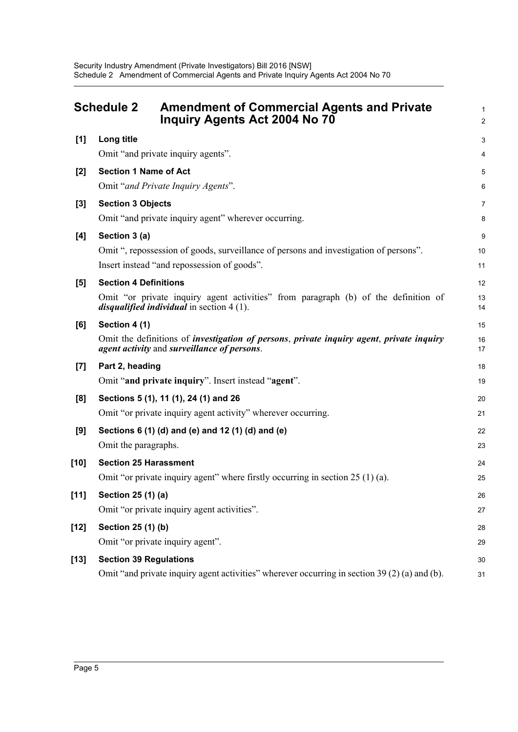<span id="page-7-0"></span>

|                    | <b>Schedule 2</b><br><b>Amendment of Commercial Agents and Private</b><br>Inquiry Agents Act 2004 No 70                                                                       | 1<br>$\overline{a}$ |
|--------------------|-------------------------------------------------------------------------------------------------------------------------------------------------------------------------------|---------------------|
| [1]                | Long title                                                                                                                                                                    | 3                   |
|                    | Omit "and private inquiry agents".                                                                                                                                            | 4                   |
| [2]                | <b>Section 1 Name of Act</b>                                                                                                                                                  | 5                   |
|                    | Omit "and Private Inquiry Agents".                                                                                                                                            | 6                   |
| [3]                | <b>Section 3 Objects</b>                                                                                                                                                      | 7                   |
|                    | Omit "and private inquiry agent" wherever occurring.                                                                                                                          | 8                   |
| [4]                | Section 3 (a)                                                                                                                                                                 | 9                   |
|                    | Omit ", repossession of goods, surveillance of persons and investigation of persons".                                                                                         | 10                  |
|                    | Insert instead "and repossession of goods".                                                                                                                                   | 11                  |
| [5]                | <b>Section 4 Definitions</b>                                                                                                                                                  | 12                  |
|                    | Omit "or private inquiry agent activities" from paragraph (b) of the definition of<br><i>disqualified individual</i> in section $4(1)$ .                                      | 13<br>14            |
| [6]                | Section 4 (1)                                                                                                                                                                 | 15                  |
|                    | Omit the definitions of <i>investigation of persons</i> , <i>private inquiry agent</i> , <i>private inquiry</i><br><i>agent activity</i> and <i>surveillance of persons</i> . | 16<br>17            |
| $\left[ 7 \right]$ | Part 2, heading                                                                                                                                                               | 18                  |
|                    | Omit "and private inquiry". Insert instead "agent".                                                                                                                           | 19                  |
| [8]                | Sections 5 (1), 11 (1), 24 (1) and 26                                                                                                                                         | 20                  |
|                    | Omit "or private inquiry agent activity" wherever occurring.                                                                                                                  | 21                  |
| [9]                | Sections 6 (1) (d) and (e) and 12 (1) (d) and (e)                                                                                                                             | 22                  |
|                    | Omit the paragraphs.                                                                                                                                                          | 23                  |
| $[10]$             | <b>Section 25 Harassment</b>                                                                                                                                                  | 24                  |
|                    | Omit "or private inquiry agent" where firstly occurring in section 25 (1) (a).                                                                                                | 25                  |
| $[11]$             | Section 25 (1) (a)                                                                                                                                                            | 26                  |
|                    | Omit "or private inquiry agent activities".                                                                                                                                   | 27                  |
| $[12]$             | Section 25 (1) (b)                                                                                                                                                            | 28                  |
|                    | Omit "or private inquiry agent".                                                                                                                                              | 29                  |
| $[13]$             | <b>Section 39 Regulations</b>                                                                                                                                                 | 30                  |
|                    | Omit "and private inquiry agent activities" wherever occurring in section 39 (2) (a) and (b).                                                                                 | 31                  |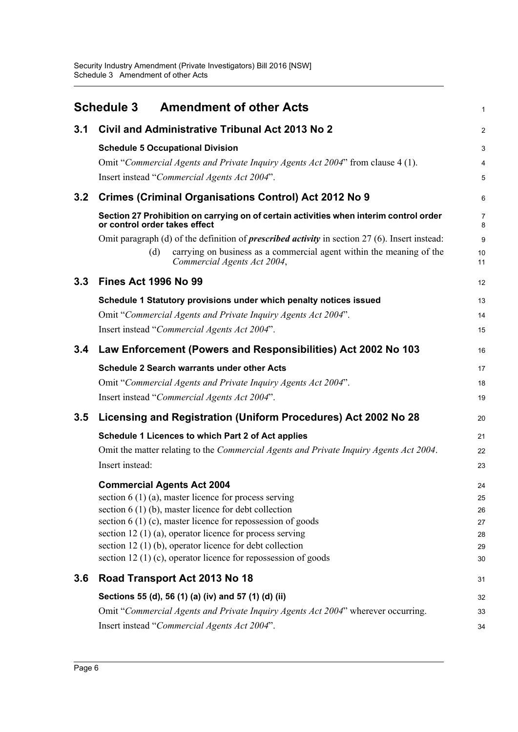<span id="page-8-0"></span>

|     | <b>Amendment of other Acts</b><br><b>Schedule 3</b>                                                                     | 1        |
|-----|-------------------------------------------------------------------------------------------------------------------------|----------|
| 3.1 | Civil and Administrative Tribunal Act 2013 No 2                                                                         | 2        |
|     | <b>Schedule 5 Occupational Division</b>                                                                                 | 3        |
|     | Omit "Commercial Agents and Private Inquiry Agents Act 2004" from clause 4 (1).                                         | 4        |
|     | Insert instead "Commercial Agents Act 2004".                                                                            | 5        |
| 3.2 | <b>Crimes (Criminal Organisations Control) Act 2012 No 9</b>                                                            | 6        |
|     | Section 27 Prohibition on carrying on of certain activities when interim control order<br>or control order takes effect | 7<br>8   |
|     | Omit paragraph (d) of the definition of <i>prescribed activity</i> in section $27(6)$ . Insert instead:                 | 9        |
|     | carrying on business as a commercial agent within the meaning of the<br>(d)<br>Commercial Agents Act 2004,              | 10<br>11 |
| 3.3 | <b>Fines Act 1996 No 99</b>                                                                                             | 12       |
|     | Schedule 1 Statutory provisions under which penalty notices issued                                                      | 13       |
|     | Omit "Commercial Agents and Private Inquiry Agents Act 2004".                                                           | 14       |
|     | Insert instead "Commercial Agents Act 2004".                                                                            | 15       |
| 3.4 | Law Enforcement (Powers and Responsibilities) Act 2002 No 103                                                           | 16       |
|     | <b>Schedule 2 Search warrants under other Acts</b>                                                                      | 17       |
|     | Omit "Commercial Agents and Private Inquiry Agents Act 2004".                                                           | 18       |
|     | Insert instead "Commercial Agents Act 2004".                                                                            | 19       |
| 3.5 | Licensing and Registration (Uniform Procedures) Act 2002 No 28                                                          | 20       |
|     | Schedule 1 Licences to which Part 2 of Act applies                                                                      | 21       |
|     | Omit the matter relating to the <i>Commercial Agents and Private Inquiry Agents Act 2004</i> .                          | 22       |
|     | Insert instead:                                                                                                         | 23       |
|     | <b>Commercial Agents Act 2004</b>                                                                                       | 24       |
|     | section $6(1)(a)$ , master licence for process serving<br>section $6(1)(b)$ , master licence for debt collection        | 25       |
|     | section $6(1)(c)$ , master licence for repossession of goods                                                            | 26<br>27 |
|     | section 12 (1) (a), operator licence for process serving                                                                | 28       |
|     | section 12 (1) (b), operator licence for debt collection                                                                | 29       |
|     | section 12 $(1)$ (c), operator licence for repossession of goods                                                        | 30       |
| 3.6 | Road Transport Act 2013 No 18                                                                                           | 31       |
|     | Sections 55 (d), 56 (1) (a) (iv) and 57 (1) (d) (ii)                                                                    | 32       |
|     | Omit "Commercial Agents and Private Inquiry Agents Act 2004" wherever occurring.                                        | 33       |
|     | Insert instead "Commercial Agents Act 2004".                                                                            | 34       |